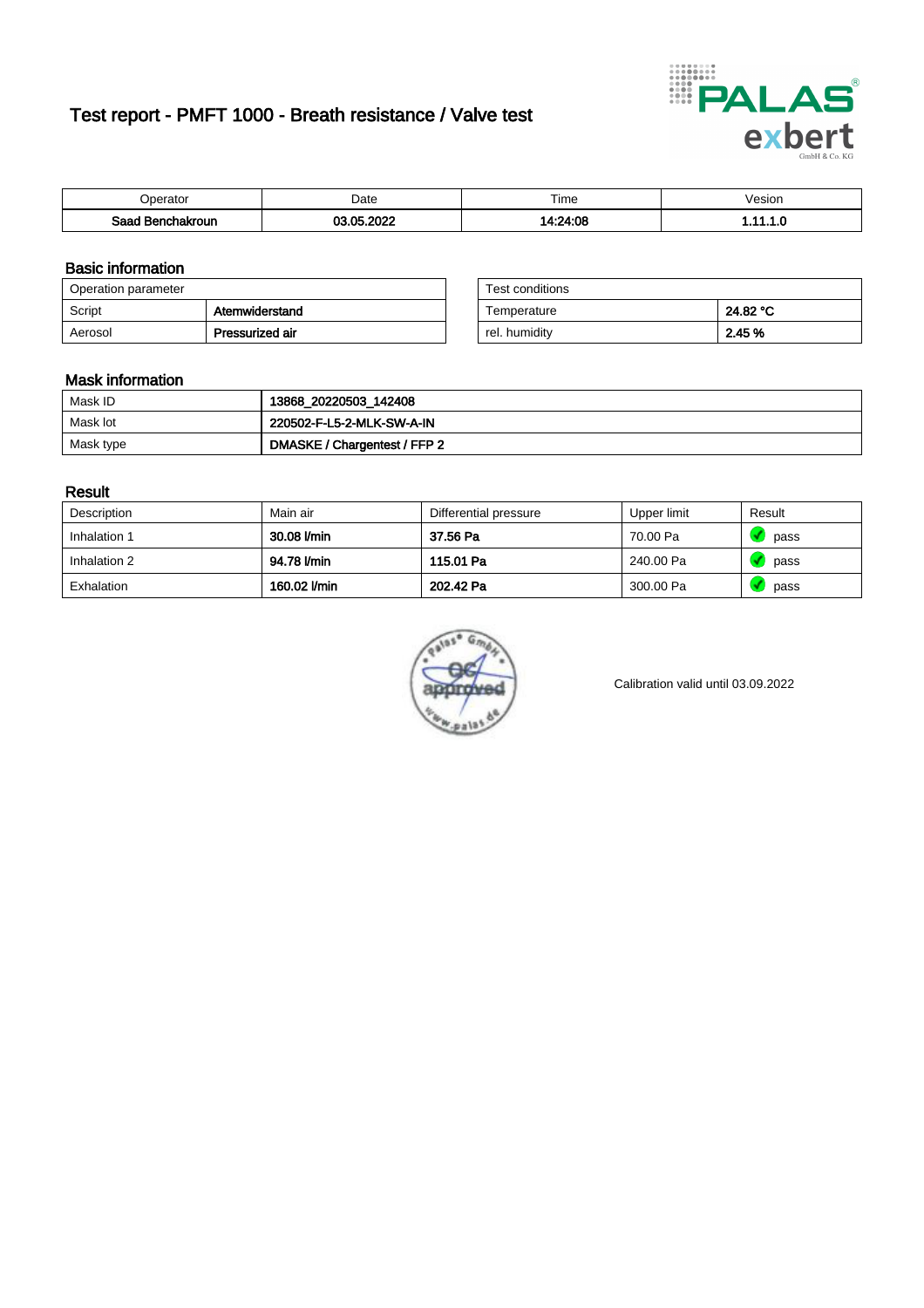# Test report - PMFT 1000 - Breath resistance / Valve test



| <b>Poerator</b>  | Date            | $- \cdot$<br>Time | /esion |
|------------------|-----------------|-------------------|--------|
| Saad Benchakroun | <b>COO DOOR</b> | 14:24:08          | .      |

### Basic information

| Operation parameter |                 | Test conditions |          |
|---------------------|-----------------|-----------------|----------|
| Script              | Atemwiderstand  | Temperature     | 24.82 °C |
| Aerosol             | Pressurized air | rel. humidity   | 2.45 %   |

| Test conditions |          |
|-----------------|----------|
| Temperature     | 24.82 °C |
| rel. humidity   | 2.45 %   |

#### Mask information

| Mask ID   | 13868_20220503_142408        |
|-----------|------------------------------|
| Mask lot  | 220502-F-L5-2-MLK-SW-A-IN    |
| Mask type | DMASKE / Chargentest / FFP 2 |

### Result

| Description  | Main air     | Differential pressure | Upper limit | Result |
|--------------|--------------|-----------------------|-------------|--------|
| Inhalation 1 | 30.08 l/min  | 37.56 Pa              | 70.00 Pa    | pass   |
| Inhalation 2 | 94.78 l/min  | 115.01 Pa             | 240.00 Pa   | pass   |
| Exhalation   | 160.02 l/min | 202.42 Pa             | 300.00 Pa   | pass   |



Calibration valid until 03.09.2022